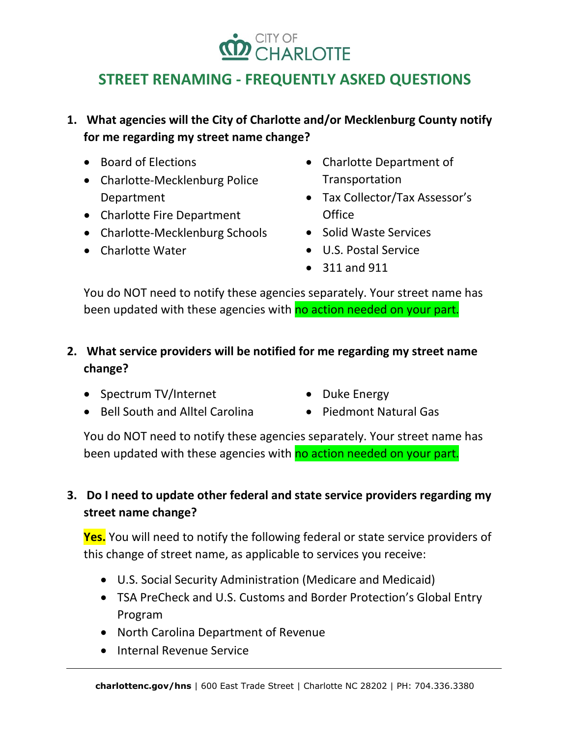# CITY OF<br>**CHARLOTTE**

## **STREET RENAMING - FREQUENTLY ASKED QUESTIONS**

**1. What agencies will the City of Charlotte and/or Mecklenburg County notify for me regarding my street name change?**

- Board of Elections
- Charlotte-Mecklenburg Police Department
- Charlotte Fire Department
- Charlotte-Mecklenburg Schools
- Charlotte Water
- Charlotte Department of Transportation
- Tax Collector/Tax Assessor's **Office**
- Solid Waste Services
- U.S. Postal Service
- 311 and 911

You do NOT need to notify these agencies separately. Your street name has been updated with these agencies with no action needed on your part.

- **2. What service providers will be notified for me regarding my street name change?**
	- Spectrum TV/Internet
	- Bell South and Alltel Carolina
- Duke Energy
- Piedmont Natural Gas

You do NOT need to notify these agencies separately. Your street name has been updated with these agencies with no action needed on your part.

## **3. Do I need to update other federal and state service providers regarding my street name change?**

**Yes.** You will need to notify the following federal or state service providers of this change of street name, as applicable to services you receive:

- U.S. Social Security Administration (Medicare and Medicaid)
- TSA PreCheck and U.S. Customs and Border Protection's Global Entry Program
- North Carolina Department of Revenue
- Internal Revenue Service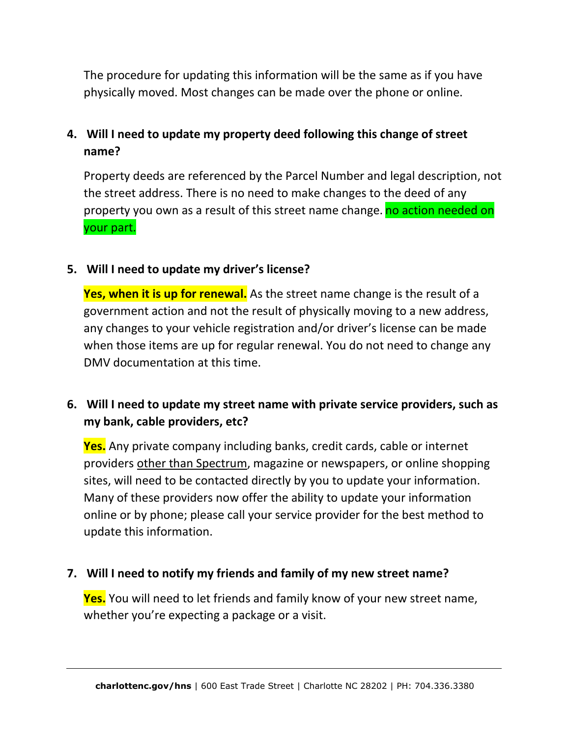The procedure for updating this information will be the same as if you have physically moved. Most changes can be made over the phone or online.

## **4. Will I need to update my property deed following this change of street name?**

Property deeds are referenced by the Parcel Number and legal description, not the street address. There is no need to make changes to the deed of any property you own as a result of this street name change. no action needed on your part.

#### **5. Will I need to update my driver's license?**

**Yes, when it is up for renewal.** As the street name change is the result of a government action and not the result of physically moving to a new address, any changes to your vehicle registration and/or driver's license can be made when those items are up for regular renewal. You do not need to change any DMV documentation at this time.

## **6. Will I need to update my street name with private service providers, such as my bank, cable providers, etc?**

**Yes.** Any private company including banks, credit cards, cable or internet providers other than Spectrum, magazine or newspapers, or online shopping sites, will need to be contacted directly by you to update your information. Many of these providers now offer the ability to update your information online or by phone; please call your service provider for the best method to update this information.

#### **7. Will I need to notify my friends and family of my new street name?**

**Yes.** You will need to let friends and family know of your new street name, whether you're expecting a package or a visit.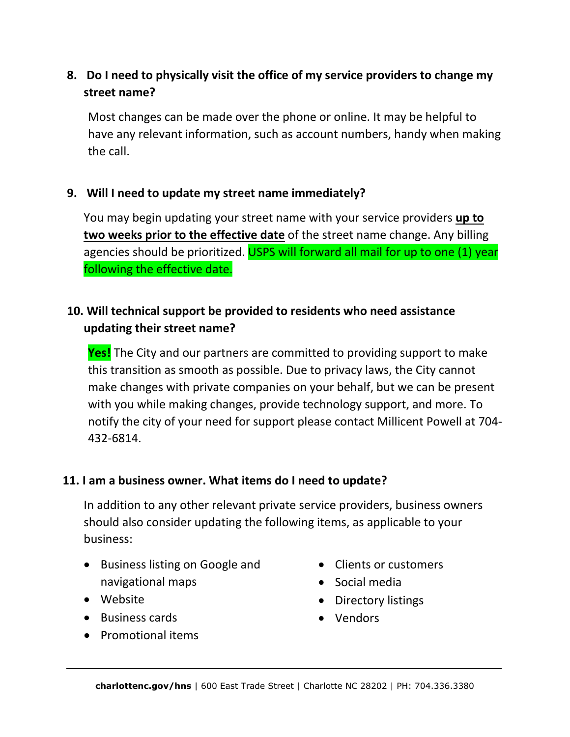## **8. Do I need to physically visit the office of my service providers to change my street name?**

Most changes can be made over the phone or online. It may be helpful to have any relevant information, such as account numbers, handy when making the call.

#### **9. Will I need to update my street name immediately?**

You may begin updating your street name with your service providers **up to two weeks prior to the effective date** of the street name change. Any billing agencies should be prioritized. USPS will forward all mail for up to one (1) year following the effective date.

## **10. Will technical support be provided to residents who need assistance updating their street name?**

**Yes!** The City and our partners are committed to providing support to make this transition as smooth as possible. Due to privacy laws, the City cannot make changes with private companies on your behalf, but we can be present with you while making changes, provide technology support, and more. To notify the city of your need for support please contact Millicent Powell at 704- 432-6814.

#### **11. I am a business owner. What items do I need to update?**

In addition to any other relevant private service providers, business owners should also consider updating the following items, as applicable to your business:

- Business listing on Google and navigational maps
- Website
- Business cards
- Promotional items
- Clients or customers
- Social media
- Directory listings
- Vendors